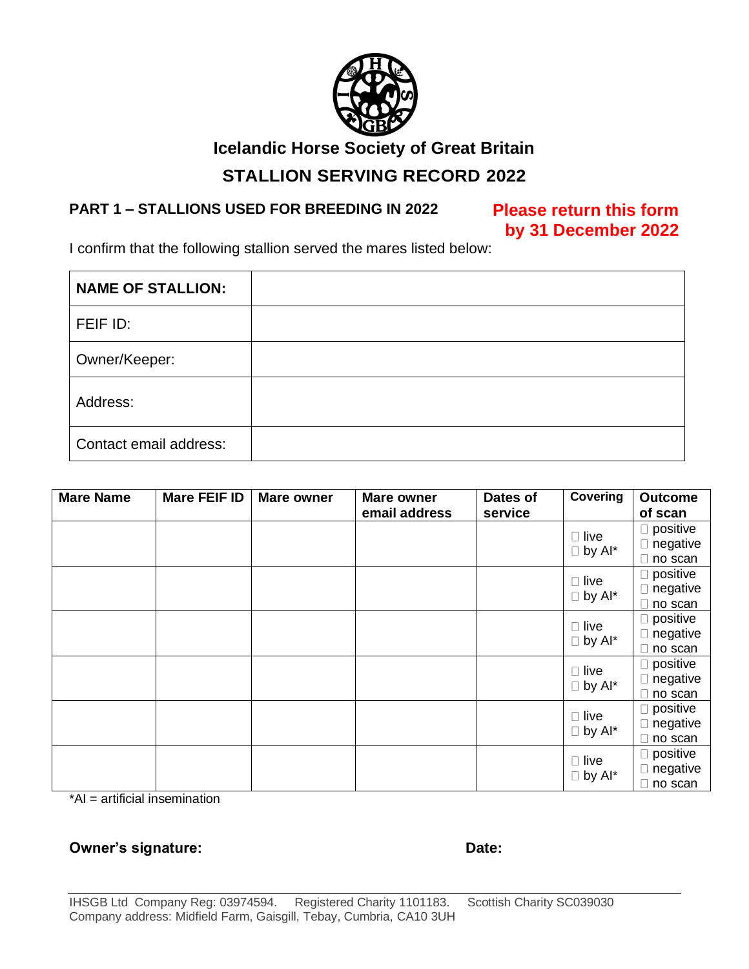

### **Icelandic Horse Society of Great Britain**

## **STALLION SERVING RECORD 2022**

#### **PART 1 – STALLIONS USED FOR BREEDING IN 2022 Please return this form**

# **by 31 December 2022**

I confirm that the following stallion served the mares listed below:

| <b>NAME OF STALLION:</b> |  |
|--------------------------|--|
| FEIF ID:                 |  |
| Owner/Keeper:            |  |
| Address:                 |  |
| Contact email address:   |  |

| <b>Mare Name</b> | <b>Mare FEIF ID</b> | <b>Mare owner</b> | <b>Mare owner</b> | Dates of | Covering                        | <b>Outcome</b>     |
|------------------|---------------------|-------------------|-------------------|----------|---------------------------------|--------------------|
|                  |                     |                   | email address     | service  |                                 | of scan            |
|                  |                     |                   |                   |          | $\Box$ live<br>$\Box$ by Al*    | $\square$ positive |
|                  |                     |                   |                   |          |                                 | negative           |
|                  |                     |                   |                   |          |                                 | $\Box$ no scan     |
|                  |                     |                   |                   |          | $\square$ live<br>$\Box$ by Al* | $\Box$ positive    |
|                  |                     |                   |                   |          |                                 | $\Box$ negative    |
|                  |                     |                   |                   |          |                                 | $\Box$ no scan     |
|                  |                     |                   |                   |          | $\Box$ live<br>$\Box$ by Al*    | $\Box$ positive    |
|                  |                     |                   |                   |          |                                 | negative           |
|                  |                     |                   |                   |          |                                 | $\Box$ no scan     |
|                  |                     |                   |                   |          | $\Box$ live<br>$\Box$ by Al*    | $\Box$ positive    |
|                  |                     |                   |                   |          |                                 | $\Box$ negative    |
|                  |                     |                   |                   |          |                                 | no scan            |
|                  |                     |                   |                   |          | $\Box$ live<br>$\Box$ by Al*    | $\square$ positive |
|                  |                     |                   |                   |          |                                 | $\Box$ negative    |
|                  |                     |                   |                   |          |                                 | no scan            |
|                  |                     |                   |                   |          | $\Box$ live<br>$\Box$ by Al*    | $\square$ positive |
|                  |                     |                   |                   |          |                                 | $\Box$ negative    |
|                  |                     |                   |                   |          |                                 | $\Box$ no scan     |

\*AI = artificial insemination

#### **Owner's signature: Date: Date: Date: Date:**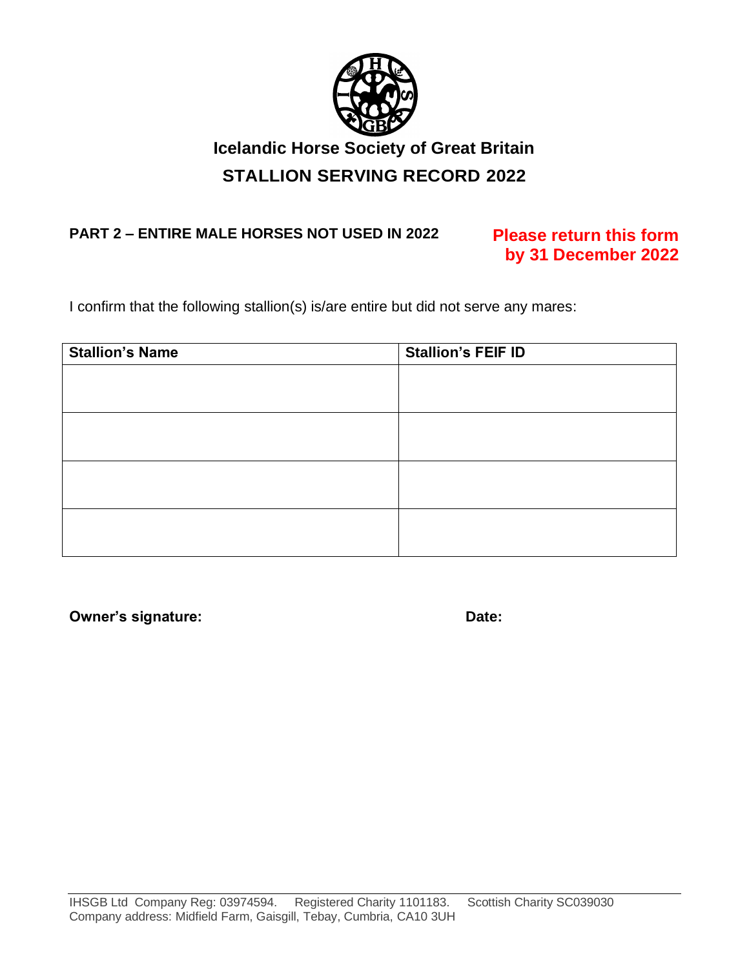

# **Icelandic Horse Society of Great Britain STALLION SERVING RECORD 2022**

## **PART 2 – ENTIRE MALE HORSES NOT USED IN 2022 Please return this form**

# **by 31 December 2022**

I confirm that the following stallion(s) is/are entire but did not serve any mares:

| <b>Stallion's Name</b> | <b>Stallion's FEIF ID</b> |  |  |
|------------------------|---------------------------|--|--|
|                        |                           |  |  |
|                        |                           |  |  |
|                        |                           |  |  |
|                        |                           |  |  |
|                        |                           |  |  |
|                        |                           |  |  |
|                        |                           |  |  |
|                        |                           |  |  |

**Owner's signature: Date: Date: Date: Date:**